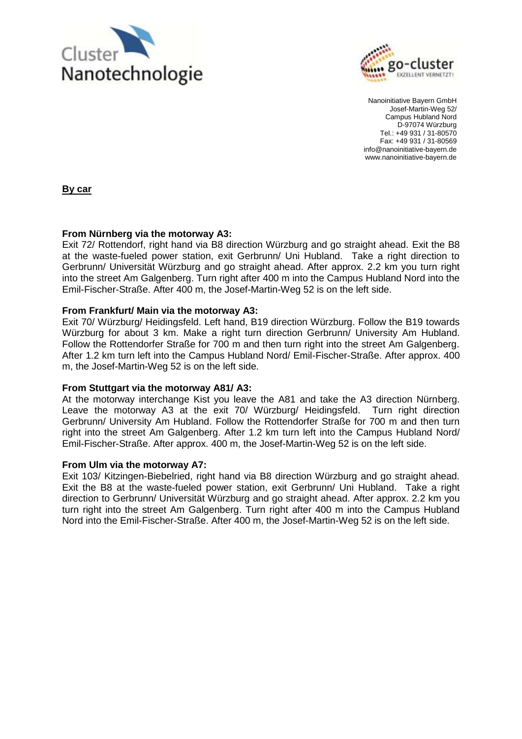



Nanoinitiative Bayern GmbH Josef-Martin-Weg 52/ Campus Hubland Nord D-97074 Würzburg Tel.: +49 931 / 31-80570 Fax: +49 931 / 31-80569 info@nanoinitiative-bayern.de www.nanoinitiative-bayern.de

**By car**

## **From Nürnberg via the motorway A3:**

Exit 72/ Rottendorf, right hand via B8 direction Würzburg and go straight ahead. Exit the B8 at the waste-fueled power station, exit Gerbrunn/ Uni Hubland. Take a right direction to Gerbrunn/ Universität Würzburg and go straight ahead. After approx. 2.2 km you turn right into the street Am Galgenberg. Turn right after 400 m into the Campus Hubland Nord into the Emil-Fischer-Straße. After 400 m, the Josef-Martin-Weg 52 is on the left side.

## **From Frankfurt/ Main via the motorway A3:**

Exit 70/ Würzburg/ Heidingsfeld. Left hand, B19 direction Würzburg. Follow the B19 towards Würzburg for about 3 km. Make a right turn direction Gerbrunn/ University Am Hubland. Follow the Rottendorfer Straße for 700 m and then turn right into the street Am Galgenberg. After 1.2 km turn left into the Campus Hubland Nord/ Emil-Fischer-Straße. After approx. 400 m, the Josef-Martin-Weg 52 is on the left side.

## **From Stuttgart via the motorway A81/ A3:**

At the motorway interchange Kist you leave the A81 and take the A3 direction Nürnberg. Leave the motorway A3 at the exit 70/ Würzburg/ Heidingsfeld. Turn right direction Gerbrunn/ University Am Hubland. Follow the Rottendorfer Straße for 700 m and then turn right into the street Am Galgenberg. After 1.2 km turn left into the Campus Hubland Nord/ Emil-Fischer-Straße. After approx. 400 m, the Josef-Martin-Weg 52 is on the left side.

## **From Ulm via the motorway A7:**

Exit 103/ Kitzingen-Biebelried, right hand via B8 direction Würzburg and go straight ahead. Exit the B8 at the waste-fueled power station, exit Gerbrunn/ Uni Hubland. Take a right direction to Gerbrunn/ Universität Würzburg and go straight ahead. After approx. 2.2 km you turn right into the street Am Galgenberg. Turn right after 400 m into the Campus Hubland Nord into the Emil-Fischer-Straße. After 400 m, the Josef-Martin-Weg 52 is on the left side.